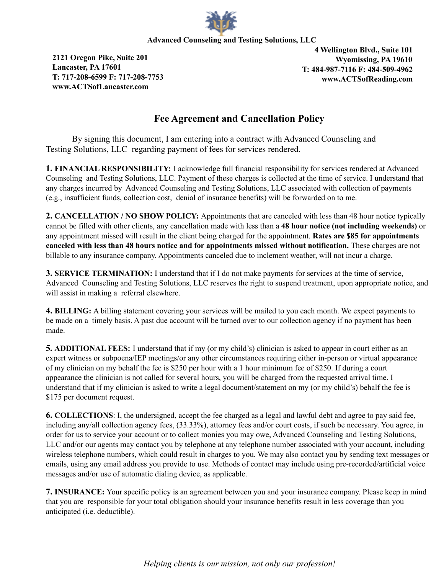

## **Advanced Counseling and Testing Solutions, LLC**

**2121 Oregon Pike, Suite 201 Lancaster, PA 17601 T: 717-208-6599 F: 717-208-7753 www.ACTSofLancaster.com**

**4 Wellington Blvd., Suite 101 Wyomissing, PA 19610 T: 484-987-7116 F: 484-509-4962 www.ACTSofReading.com**

## **Fee Agreement and Cancellation Policy**

By signing this document, I am entering into a contract with Advanced Counseling and Testing Solutions, LLC regarding payment of fees for services rendered.

**1. FINANCIAL RESPONSIBILITY:** I acknowledge full financial responsibility for services rendered at Advanced Counseling and Testing Solutions, LLC. Payment of these charges is collected at the time of service. I understand that any charges incurred by Advanced Counseling and Testing Solutions, LLC associated with collection of payments (e.g., insufficient funds, collection cost, denial of insurance benefits) will be forwarded on to me.

**2. CANCELLATION / NO SHOW POLICY:** Appointments that are canceled with less than 48 hour notice typically cannot be filled with other clients, any cancellation made with less than a **48 hour notice (not including weekends)** or any appointment missed will result in the client being charged for the appointment. **Rates are \$85 for appointments canceled with less than 48 hours notice and for appointments missed without notification.** These charges are not billable to any insurance company. Appointments canceled due to inclement weather, will not incur a charge.

**3. SERVICE TERMINATION:** I understand that if I do not make payments for services at the time of service, Advanced Counseling and Testing Solutions, LLC reserves the right to suspend treatment, upon appropriate notice, and will assist in making a referral elsewhere.

**4. BILLING:** A billing statement covering your services will be mailed to you each month. We expect payments to be made on a timely basis. A past due account will be turned over to our collection agency if no payment has been made.

**5. ADDITIONAL FEES:** I understand that if my (or my child's) clinician is asked to appear in court either as an expert witness or subpoena/IEP meetings/or any other circumstances requiring either in-person or virtual appearance of my clinician on my behalf the fee is \$250 per hour with a 1 hour minimum fee of \$250. If during a court appearance the clinician is not called for several hours, you will be charged from the requested arrival time. I understand that if my clinician is asked to write a legal document/statement on my (or my child's) behalf the fee is \$175 per document request.

**6. COLLECTIONS**: I, the undersigned, accept the fee charged as a legal and lawful debt and agree to pay said fee, including any/all collection agency fees, (33.33%), attorney fees and/or court costs, if such be necessary. You agree, in order for us to service your account or to collect monies you may owe, Advanced Counseling and Testing Solutions, LLC and/or our agents may contact you by telephone at any telephone number associated with your account, including wireless telephone numbers, which could result in charges to you. We may also contact you by sending text messages or emails, using any email address you provide to use. Methods of contact may include using pre-recorded/artificial voice messages and/or use of automatic dialing device, as applicable.

**7. INSURANCE:** Your specific policy is an agreement between you and your insurance company. Please keep in mind that you are responsible for your total obligation should your insurance benefits result in less coverage than you anticipated (i.e. deductible).

*Helping clients is our mission, not only our profession!*